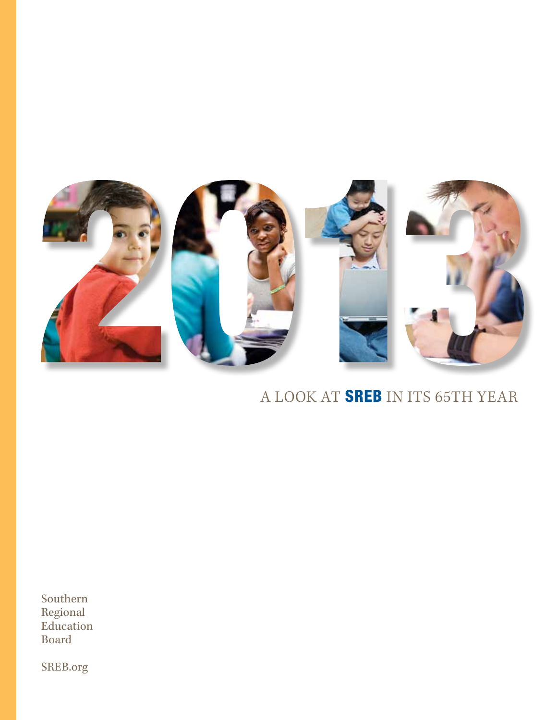

## A LOOK AT SREB IN ITS 65TH YEAR

Southern Regional Education Board

SREB.org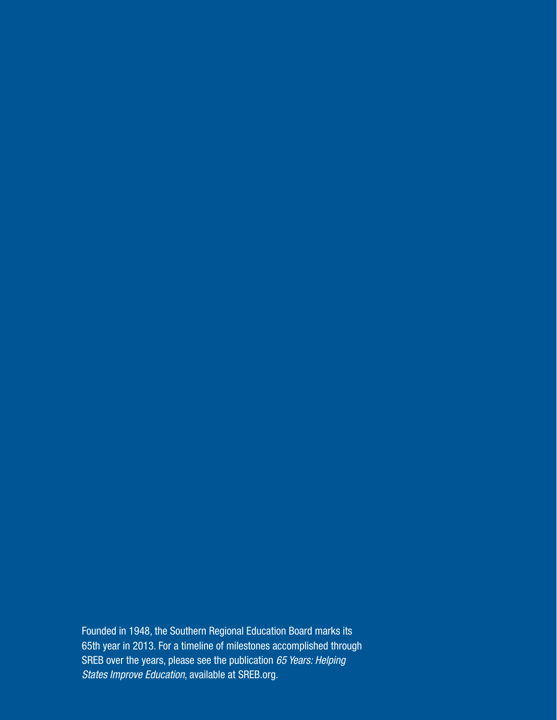Founded in 1948, the Southern Regional Education Board marks its 65th year in 2013. For a timeline of milestones accomplished through SREB over the years, please see the publication *65 Years: Helping States Improve Education*, available at SREB.org.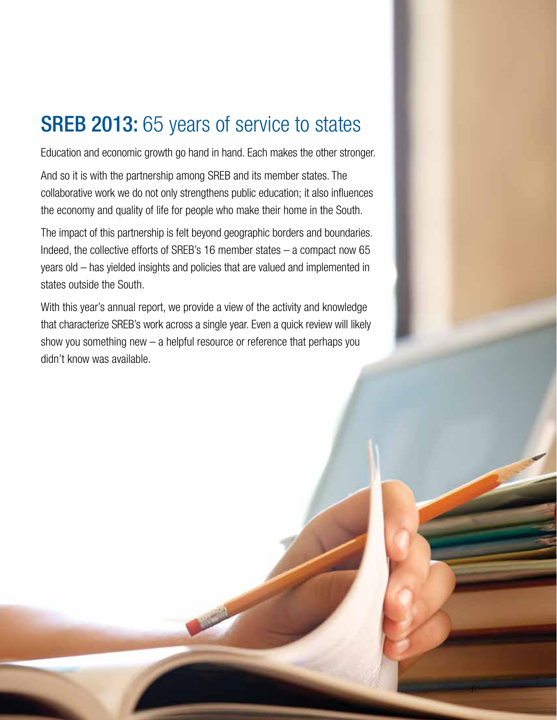## **SREB 2013:** 65 years of service to states

Education and economic growth go hand in hand. Each makes the other stronger.

And so it is with the partnership among SREB and its member states. The collaborative work we do not only strengthens public education; it also influences the economy and quality of life for people who make their home in the South.

The impact of this partnership is felt beyond geographic borders and boundaries. Indeed, the collective efforts of SREB's 16 member states – a compact now 65 years old – has yielded insights and policies that are valued and implemented in states outside the South.

With this year's annual report, we provide a view of the activity and knowledge that characterize SREB's work across a single year. Even a quick review will likely show you something new – a helpful resource or reference that perhaps you didn't know was available.

**MARTIN** 

*1*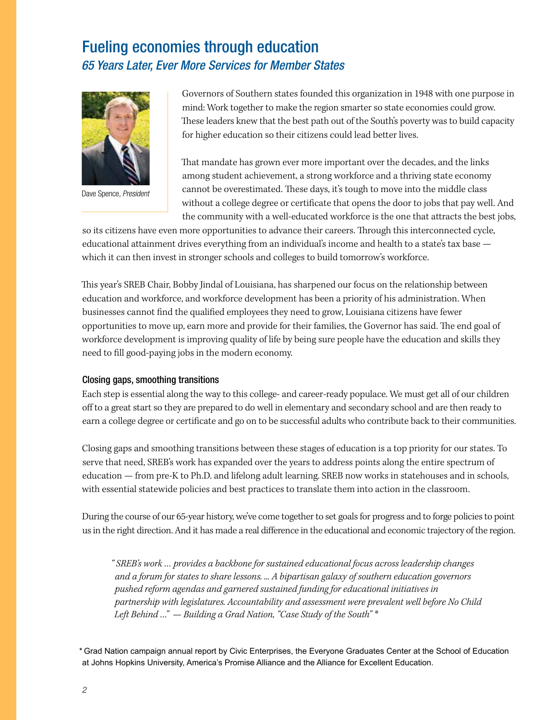### Fueling economies through education *65 Years Later, Ever More Services for Member States*



Dave Spence, *President*

Governors of Southern states founded this organization in 1948 with one purpose in mind: Work together to make the region smarter so state economies could grow. These leaders knew that the best path out of the South's poverty was to build capacity for higher education so their citizens could lead better lives.

That mandate has grown ever more important over the decades, and the links among student achievement, a strong workforce and a thriving state economy cannot be overestimated. These days, it's tough to move into the middle class without a college degree or certificate that opens the door to jobs that pay well. And the community with a well-educated workforce is the one that attracts the best jobs,

so its citizens have even more opportunities to advance their careers. Through this interconnected cycle, educational attainment drives everything from an individual's income and health to a state's tax base which it can then invest in stronger schools and colleges to build tomorrow's workforce.

This year's SREB Chair, Bobby Jindal of Louisiana, has sharpened our focus on the relationship between education and workforce, and workforce development has been a priority of his administration. When businesses cannot find the qualified employees they need to grow, Louisiana citizens have fewer opportunities to move up, earn more and provide for their families, the Governor has said. The end goal of workforce development is improving quality of life by being sure people have the education and skills they need to fill good-paying jobs in the modern economy.

#### Closing gaps, smoothing transitions

Each step is essential along the way to this college- and career-ready populace. We must get all of our children off to a great start so they are prepared to do well in elementary and secondary school and are then ready to earn a college degree or certificate and go on to be successful adults who contribute back to their communities.

Closing gaps and smoothing transitions between these stages of education is a top priority for our states. To serve that need, SREB's work has expanded over the years to address points along the entire spectrum of education — from pre-K to Ph.D. and lifelong adult learning. SREB now works in statehouses and in schools, with essential statewide policies and best practices to translate them into action in the classroom.

During the course of our 65-year history, we've come together to set goals for progress and to forge policies to point us in the right direction. And it has made a real difference in the educational and economic trajectory of the region.

*" SREB's work … provides a backbone for sustained educational focus across leadership changes and a forum for states to share lessons. ... A bipartisan galaxy of southern education governors pushed reform agendas and garnered sustained funding for educational initiatives in partnership with legislatures. Accountability and assessment were prevalent well before No Child Left Behind …" — Building a Grad Nation, "Case Study of the South" \**

*\** Grad Nation campaign annual report by Civic Enterprises, the Everyone Graduates Center at the School of Education at Johns Hopkins University, America's Promise Alliance and the Alliance for Excellent Education.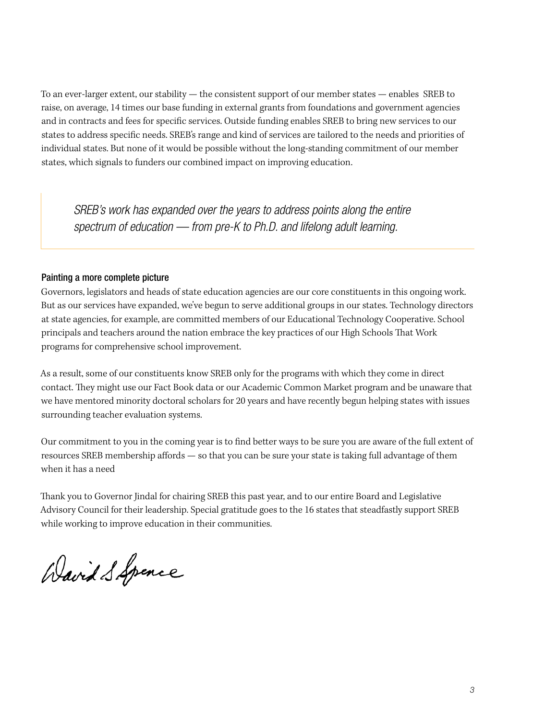To an ever-larger extent, our stability — the consistent support of our member states — enables SREB to raise, on average, 14 times our base funding in external grants from foundations and government agencies and in contracts and fees for specific services. Outside funding enables SREB to bring new services to our states to address specific needs. SREB's range and kind of services are tailored to the needs and priorities of individual states. But none of it would be possible without the long-standing commitment of our member states, which signals to funders our combined impact on improving education.

*SREB's work has expanded over the years to address points along the entire spectrum of education — from pre-K to Ph.D. and lifelong adult learning.*

#### Painting a more complete picture

Governors, legislators and heads of state education agencies are our core constituents in this ongoing work. But as our services have expanded, we've begun to serve additional groups in our states. Technology directors at state agencies, for example, are committed members of our Educational Technology Cooperative. School principals and teachers around the nation embrace the key practices of our High Schools That Work programs for comprehensive school improvement.

As a result, some of our constituents know SREB only for the programs with which they come in direct contact. They might use our Fact Book data or our Academic Common Market program and be unaware that we have mentored minority doctoral scholars for 20 years and have recently begun helping states with issues surrounding teacher evaluation systems.

Our commitment to you in the coming year is to find better ways to be sure you are aware of the full extent of resources SREB membership affords — so that you can be sure your state is taking full advantage of them when it has a need

Thank you to Governor Jindal for chairing SREB this past year, and to our entire Board and Legislative Advisory Council for their leadership. Special gratitude goes to the 16 states that steadfastly support SREB while working to improve education in their communities.

Wavid S Spence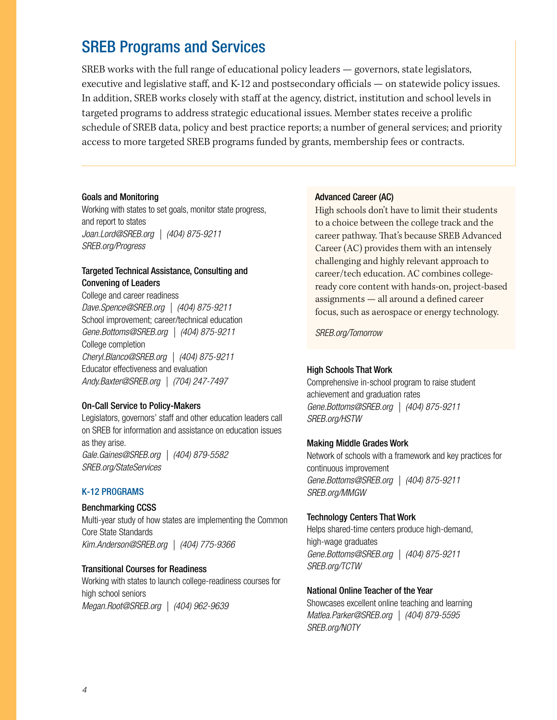## SREB Programs and Services

SREB works with the full range of educational policy leaders — governors, state legislators, executive and legislative staff, and K-12 and postsecondary officials — on statewide policy issues. In addition, SREB works closely with staff at the agency, district, institution and school levels in targeted programs to address strategic educational issues. Member states receive a prolific schedule of SREB data, policy and best practice reports; a number of general services; and priority access to more targeted SREB programs funded by grants, membership fees or contracts.

#### Goals and Monitoring

Working with states to set goals, monitor state progress, and report to states *Joan.Lord@SREB.org | (404) 875-9211 SREB.org/Progress*

#### Targeted Technical Assistance, Consulting and Convening of Leaders

College and career readiness *Dave.Spence@SREB.org | (404) 875-9211* School improvement; career/technical education *Gene.Bottoms@SREB.org | (404) 875-9211* College completion *Cheryl.Blanco@SREB.org | (404) 875-9211* Educator effectiveness and evaluation *Andy.Baxter@SREB.org | (704) 247-7497*

#### On-Call Service to Policy-Makers

Legislators, governors' staff and other education leaders call on SREB for information and assistance on education issues as they arise. *Gale.Gaines@SREB.org | (404) 879-5582 SREB.org/StateServices*

#### K-12 Programs

#### Benchmarking CCSS

Multi-year study of how states are implementing the Common Core State Standards *Kim.Anderson@SREB.org | (404) 775-9366*

#### Transitional Courses for Readiness

Working with states to launch college-readiness courses for high school seniors *Megan.Root@SREB.org | (404) 962-9639*

#### Advanced Career (AC)

High schools don't have to limit their students to a choice between the college track and the career pathway. That's because SREB Advanced Career (AC) provides them with an intensely challenging and highly relevant approach to career/tech education. AC combines collegeready core content with hands-on, project-based assignments — all around a defined career focus, such as aerospace or energy technology.

*SREB.org/Tomorrow*

#### High Schools That Work

Comprehensive in-school program to raise student achievement and graduation rates *Gene.Bottoms@SREB.org | (404) 875-9211 SREB.org/HSTW*

#### Making Middle Grades Work

Network of schools with a framework and key practices for continuous improvement *Gene.Bottoms@SREB.org | (404) 875-9211 SREB.org/MMGW*

#### Technology Centers That Work

Helps shared-time centers produce high-demand, high-wage graduates *Gene.Bottoms@SREB.org | (404) 875-9211 SREB.org/TCTW*

#### National Online Teacher of the Year

Showcases excellent online teaching and learning *Matlea.Parker@SREB.org | (404) 879-5595 SREB.org/NOTY*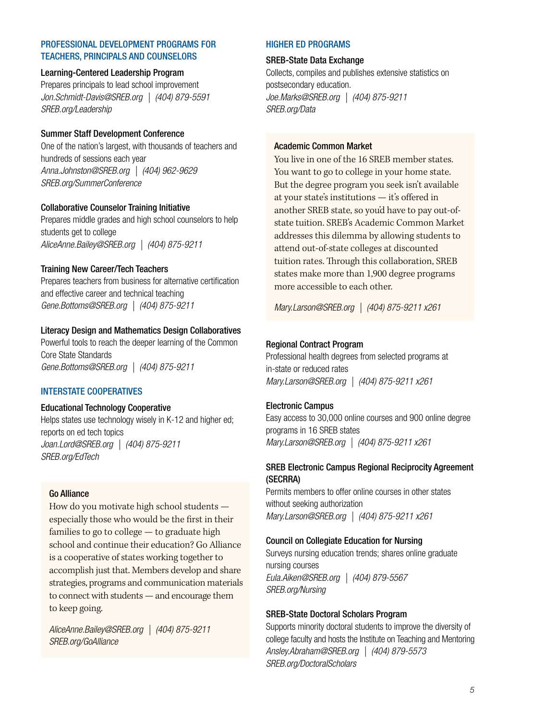#### Professional Development Programs for teachers, principals and counselors

#### Learning-Centered Leadership Program

Prepares principals to lead school improvement *Jon.Schmidt-Davis@SREB.org | (404) 879-5591 SREB.org/Leadership*

#### Summer Staff Development Conference

One of the nation's largest, with thousands of teachers and hundreds of sessions each year *Anna.Johnston@SREB.org | (404) 962-9629 SREB.org/SummerConference*

#### Collaborative Counselor Training Initiative

Prepares middle grades and high school counselors to help students get to college *AliceAnne.Bailey@SREB.org | (404) 875-9211*

#### Training New Career/Tech Teachers

Prepares teachers from business for alternative certification and effective career and technical teaching *Gene.Bottoms@SREB.org | (404) 875-9211*

#### Literacy Design and Mathematics Design Collaboratives

Powerful tools to reach the deeper learning of the Common Core State Standards *Gene.Bottoms@SREB.org | (404) 875-9211*

#### Interstate Cooperatives

#### Educational Technology Cooperative

Helps states use technology wisely in K-12 and higher ed; reports on ed tech topics *Joan.Lord@SREB.org | (404) 875-9211 SREB.org/EdTech*

#### Go Alliance

How do you motivate high school students especially those who would be the first in their families to go to college — to graduate high school and continue their education? Go Alliance is a cooperative of states working together to accomplish just that. Members develop and share strategies, programs and communication materials to connect with students — and encourage them to keep going.

*AliceAnne.Bailey@SREB.org | (404) 875-9211 SREB.org/GoAlliance*

#### Higher Ed Programs

#### SREB-State Data Exchange

Collects, compiles and publishes extensive statistics on postsecondary education. *Joe.Marks@SREB.org | (404) 875-9211 SREB.org/Data*

#### Academic Common Market

You live in one of the 16 SREB member states. You want to go to college in your home state. But the degree program you seek isn't available at your state's institutions — it's offered in another SREB state, so you'd have to pay out-ofstate tuition. SREB's Academic Common Market addresses this dilemma by allowing students to attend out-of-state colleges at discounted tuition rates. Through this collaboration, SREB states make more than 1,900 degree programs more accessible to each other.

*Mary.Larson@SREB.org | (404) 875-9211 x261*

#### Regional Contract Program

Professional health degrees from selected programs at in-state or reduced rates *Mary.Larson@SREB.org | (404) 875-9211 x261* 

#### Electronic Campus

Easy access to 30,000 online courses and 900 online degree programs in 16 SREB states *Mary.Larson@SREB.org | (404) 875-9211 x261* 

#### SREB Electronic Campus Regional Reciprocity Agreement (SECRRA)

Permits members to offer online courses in other states without seeking authorization *Mary.Larson@SREB.org | (404) 875-9211 x261* 

#### Council on Collegiate Education for Nursing

Surveys nursing education trends; shares online graduate nursing courses *Eula.Aiken@SREB.org | (404) 879-5567 SREB.org/Nursing*

#### SREB-State Doctoral Scholars Program

Supports minority doctoral students to improve the diversity of college faculty and hosts the Institute on Teaching and Mentoring *Ansley.Abraham@SREB.org | (404) 879-5573 SREB.org/DoctoralScholars*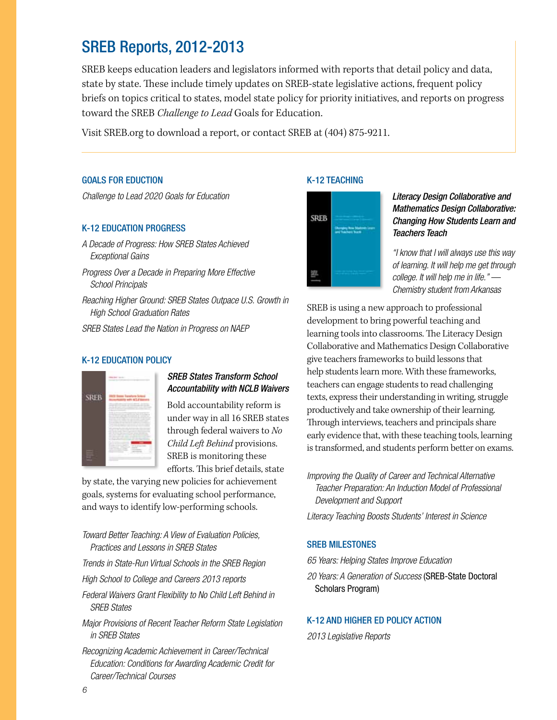## SREB Reports, 2012-2013

SREB keeps education leaders and legislators informed with reports that detail policy and data, state by state. These include timely updates on SREB-state legislative actions, frequent policy briefs on topics critical to states, model state policy for priority initiatives, and reports on progress toward the SREB *Challenge to Lead* Goals for Education.

Visit SREB.org to download a report, or contact SREB at (404) 875-9211.

#### GOALS FOR EDUCTION

*Challenge to Lead 2020 Goals for Education*

#### K-12 Education Progress

- *A Decade of Progress: How SREB States Achieved Exceptional Gains*
- *Progress Over a Decade in Preparing More Effective School Principals*
- *Reaching Higher Ground: SREB States Outpace U.S. Growth in High School Graduation Rates*

*SREB States Lead the Nation in Progress on NAEP* 

#### K-12 Education Policy



#### *SREB States Transform School Accountability with NCLB Waivers*

Bold accountability reform is under way in all 16 SREB states through federal waivers to *No Child Left Behind* provisions. SREB is monitoring these efforts. This brief details, state

by state, the varying new policies for achievement goals, systems for evaluating school performance, and ways to identify low-performing schools.

#### *Toward Better Teaching: A View of Evaluation Policies, Practices and Lessons in SREB States*

- *Trends in State-Run Virtual Schools in the SREB Region*
- *High School to College and Careers 2013 reports*
- *Federal Waivers Grant Flexibility to No Child Left Behind in SREB States*
- *Major Provisions of Recent Teacher Reform State Legislation in SREB States*
- *Recognizing Academic Achievement in Career/Technical Education: Conditions for Awarding Academic Credit for Career/Technical Courses*

#### K-12 Teaching



#### *Literacy Design Collaborative and Mathematics Design Collaborative: Changing How Students Learn and Teachers Teach*

*"I know that I will always use this way of learning. It will help me get through college. It will help me in life." — Chemistry student from Arkansas*

SREB is using a new approach to professional development to bring powerful teaching and learning tools into classrooms. The Literacy Design Collaborative and Mathematics Design Collaborative give teachers frameworks to build lessons that help students learn more. With these frameworks, teachers can engage students to read challenging texts, express their understanding in writing, struggle productively and take ownership of their learning. Through interviews, teachers and principals share early evidence that, with these teaching tools, learning is transformed, and students perform better on exams.

*Improving the Quality of Career and Technical Alternative Teacher Preparation: An Induction Model of Professional Development and Support* 

*Literacy Teaching Boosts Students' Interest in Science*

#### SREB MILESTONES

*65 Years: Helping States Improve Education*

*20 Years: A Generation of Success* (SREB-State Doctoral Scholars Program)

#### K-12 and Higher Ed Policy Action

*2013 Legislative Reports*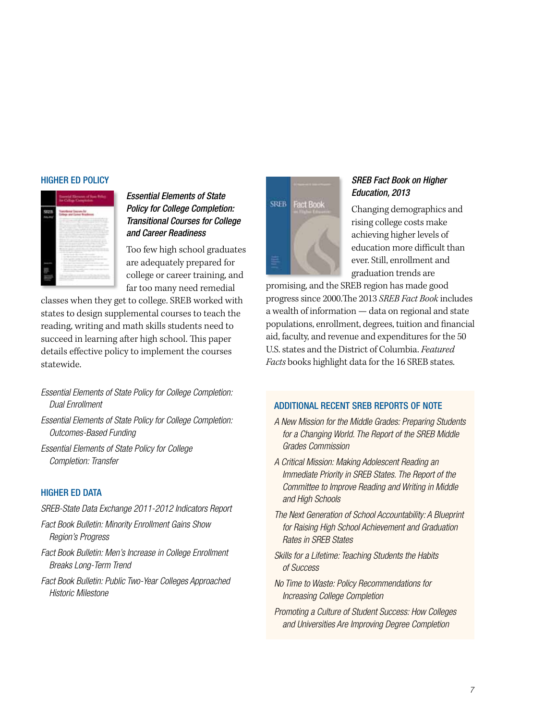#### Higher Ed Policy



*Essential Elements of State Policy for College Completion: Transitional Courses for College and Career Readiness*

Too few high school graduates are adequately prepared for college or career training, and far too many need remedial

classes when they get to college. SREB worked with states to design supplemental courses to teach the reading, writing and math skills students need to succeed in learning after high school. This paper details effective policy to implement the courses statewide.

- *Essential Elements of State Policy for College Completion: Dual Enrollment*
- *Essential Elements of State Policy for College Completion: Outcomes-Based Funding*
- *Essential Elements of State Policy for College Completion: Transfer*

#### **HIGHER ED DATA**

- *SREB-State Data Exchange 2011-2012 Indicators Report*
- *Fact Book Bulletin: Minority Enrollment Gains Show Region's Progress*
- *Fact Book Bulletin: Men's Increase in College Enrollment Breaks Long-Term Trend*
- *Fact Book Bulletin: Public Two-Year Colleges Approached Historic Milestone*

# **SREB Fact Book**

#### *SREB Fact Book on Higher Education, 2013*

Changing demographics and rising college costs make achieving higher levels of education more difficult than ever. Still, enrollment and graduation trends are

promising, and the SREB region has made good progress since 2000.The 2013 *SREB Fact Book* includes a wealth of information — data on regional and state populations, enrollment, degrees, tuition and financial aid, faculty, and revenue and expenditures for the 50 U.S. states and the District of Columbia. *Featured Facts* books highlight data for the 16 SREB states.

#### Additional Recent SREB Reports of Note

- *A New Mission for the Middle Grades: Preparing Students for a Changing World. The Report of the SREB Middle Grades Commission*
- *A Critical Mission: Making Adolescent Reading an Immediate Priority in SREB States. The Report of the Committee to Improve Reading and Writing in Middle and High Schools*
- *The Next Generation of School Accountability: A Blueprint for Raising High School Achievement and Graduation Rates in SREB States*
- *Skills for a Lifetime: Teaching Students the Habits of Success*
- *No Time to Waste: Policy Recommendations for Increasing College Completion*
- *Promoting a Culture of Student Success: How Colleges and Universities Are Improving Degree Completion*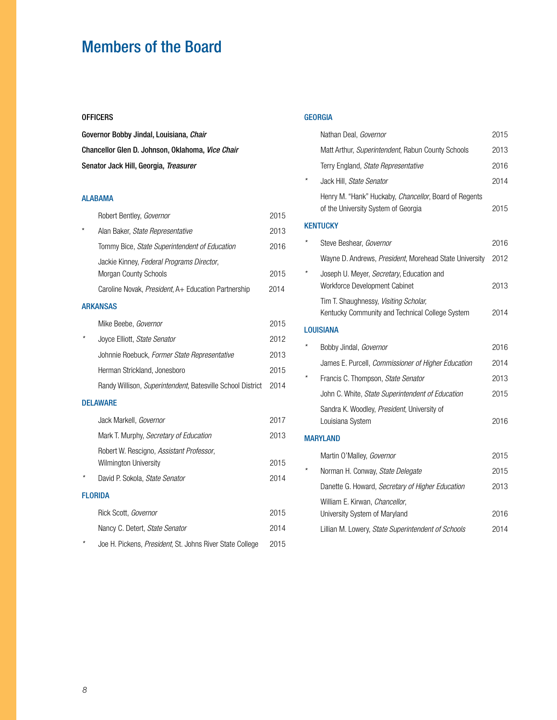## Members of the Board

#### **OFFICERS**

Governor Bobby Jindal, Louisiana, *Chair* Chancellor Glen D. Johnson, Oklahoma, *Vice Chair* Senator Jack Hill, Georgia, *Treasurer*

#### Alabama

| Robert Bentley, Governor                                           | 2015 |
|--------------------------------------------------------------------|------|
| Alan Baker, State Representative                                   | 2013 |
| Tommy Bice, State Superintendent of Education                      | 2016 |
| Jackie Kinney, Federal Programs Director,<br>Morgan County Schools | 2015 |
| Caroline Novak, President, A+ Education Partnership                | 2014 |
| <b>ARKANSAS</b>                                                    |      |
| Mike Beebe, Governor                                               | 2015 |
| Joyce Elliott, State Senator                                       | 2012 |
| Johnnie Roebuck, Former State Representative                       | 2013 |
| Herman Strickland, Jonesboro                                       | 2015 |
| Randy Willison, Superintendent, Batesville School District         | 2014 |
| <b>DELAWARE</b>                                                    |      |
| Jack Markell, Governor                                             | 2017 |
| Mark T. Murphy, Secretary of Education                             | 2013 |
| Robert W. Rescigno, Assistant Professor,                           |      |
| Wilmington University                                              | 2015 |
| David P. Sokola, State Senator                                     | 2014 |
| <b>FLORIDA</b>                                                     |      |
| Rick Scott, Governor                                               | 2015 |
| Nancy C. Detert, State Senator                                     | 2014 |
| Joe H. Pickens, President, St. Johns River State College           | 2015 |

#### **GEORGIA**

| Nathan Deal, Governor                                                                        | 2015 |
|----------------------------------------------------------------------------------------------|------|
| Matt Arthur, Superintendent, Rabun County Schools                                            | 2013 |
| Terry England, State Representative                                                          | 2016 |
| Jack Hill, State Senator                                                                     | 2014 |
| Henry M. "Hank" Huckaby, Chancellor, Board of Regents<br>of the University System of Georgia | 2015 |
| <b>KENTUCKY</b>                                                                              |      |
| Steve Beshear, Governor                                                                      | 2016 |
| Wayne D. Andrews, President, Morehead State University                                       | 2012 |
| Joseph U. Meyer, Secretary, Education and<br>Workforce Development Cabinet                   | 2013 |
| Tim T. Shaughnessy, Visiting Scholar,<br>Kentucky Community and Technical College System     | 2014 |
| <b>LOUISIANA</b>                                                                             |      |
| Bobby Jindal, Governor                                                                       | 2016 |
| James E. Purcell, Commissioner of Higher Education                                           | 2014 |
| Francis C. Thompson, State Senator                                                           | 2013 |
| John C. White, State Superintendent of Education                                             | 2015 |
| Sandra K. Woodley, President, University of<br>Louisiana System                              | 2016 |
| <b>MARYLAND</b>                                                                              |      |
| Martin O'Malley, Governor                                                                    | 2015 |
| Norman H. Conway, State Delegate                                                             | 2015 |
| Danette G. Howard, Secretary of Higher Education                                             | 2013 |
| William E. Kirwan, Chancellor,<br>University System of Maryland                              | 2016 |
| Lillian M. Lowery, State Superintendent of Schools                                           | 2014 |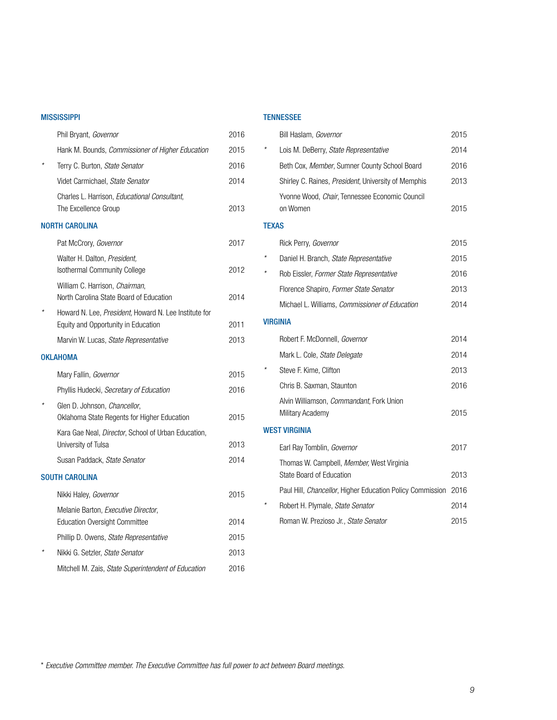#### **MISSISSIPPI**

#### Tennessee

|                       | Phil Bryant, Governor                                                                        | 2016 |              | Bill Haslam, Governor                                        | 2015 |
|-----------------------|----------------------------------------------------------------------------------------------|------|--------------|--------------------------------------------------------------|------|
|                       | Hank M. Bounds, Commissioner of Higher Education                                             | 2015 |              | Lois M. DeBerry, State Representative                        | 2014 |
|                       | Terry C. Burton, State Senator                                                               | 2016 |              | Beth Cox, Member, Sumner County School Board                 | 2016 |
|                       | Videt Carmichael, State Senator                                                              | 2014 |              | Shirley C. Raines, <i>President</i> , University of Memphis  | 2013 |
|                       | Charles L. Harrison, <i>Educational Consultant</i> ,<br>The Excellence Group                 | 2013 |              | Yvonne Wood, Chair, Tennessee Economic Council<br>on Women   | 2015 |
| <b>NORTH CAROLINA</b> |                                                                                              |      | <b>TEXAS</b> |                                                              |      |
|                       | Pat McCrory, Governor                                                                        | 2017 |              | Rick Perry, Governor                                         | 2015 |
|                       | Walter H. Dalton, President,                                                                 |      | $^{\star}$   | Daniel H. Branch, State Representative                       | 2015 |
|                       | Isothermal Community College                                                                 | 2012 | $\star$      | Rob Eissler, Former State Representative                     | 2016 |
|                       | William C. Harrison, Chairman,                                                               | 2014 |              | Florence Shapiro, Former State Senator                       | 2013 |
|                       | North Carolina State Board of Education                                                      |      |              | Michael L. Williams, Commissioner of Education               | 2014 |
|                       | Howard N. Lee, President, Howard N. Lee Institute for<br>Equity and Opportunity in Education | 2011 |              | <b>VIRGINIA</b>                                              |      |
|                       | Marvin W. Lucas, State Representative                                                        | 2013 |              | Robert F. McDonnell, Governor                                | 2014 |
| <b>OKLAHOMA</b>       |                                                                                              |      |              | Mark L. Cole, State Delegate                                 | 2014 |
|                       | Mary Fallin, Governor                                                                        | 2015 | $\star$      | Steve F. Kime, Clifton                                       | 2013 |
|                       | Phyllis Hudecki, Secretary of Education                                                      | 2016 |              | Chris B. Saxman, Staunton                                    | 2016 |
| $\star$               | Glen D. Johnson, Chancellor,<br>Oklahoma State Regents for Higher Education                  | 2015 |              | Alvin Williamson, Commandant, Fork Union<br>Military Academy | 2015 |
|                       | Kara Gae Neal, Director, School of Urban Education,                                          |      |              | <b>WEST VIRGINIA</b>                                         |      |
|                       | University of Tulsa                                                                          | 2013 |              | Earl Ray Tomblin, Governor                                   | 2017 |
|                       | Susan Paddack, State Senator                                                                 | 2014 |              | Thomas W. Campbell, Member, West Virginia                    |      |
| <b>SOUTH CAROLINA</b> |                                                                                              |      |              | State Board of Education                                     | 2013 |
|                       | Nikki Haley, Governor                                                                        | 2015 |              | Paul Hill, Chancellor, Higher Education Policy Commission    | 2016 |
|                       | Melanie Barton, Executive Director,                                                          |      |              | Robert H. Plymale, State Senator                             | 2014 |
|                       | <b>Education Oversight Committee</b>                                                         | 2014 |              | Roman W. Prezioso Jr., State Senator                         | 2015 |
|                       | Phillip D. Owens, State Representative                                                       | 2015 |              |                                                              |      |
|                       | Nikki G. Setzler, State Senator                                                              | 2013 |              |                                                              |      |
|                       | Mitchell M. Zais, State Superintendent of Education                                          | 2016 |              |                                                              |      |

\* *Executive Committee member. The Executive Committee has full power to act between Board meetings.*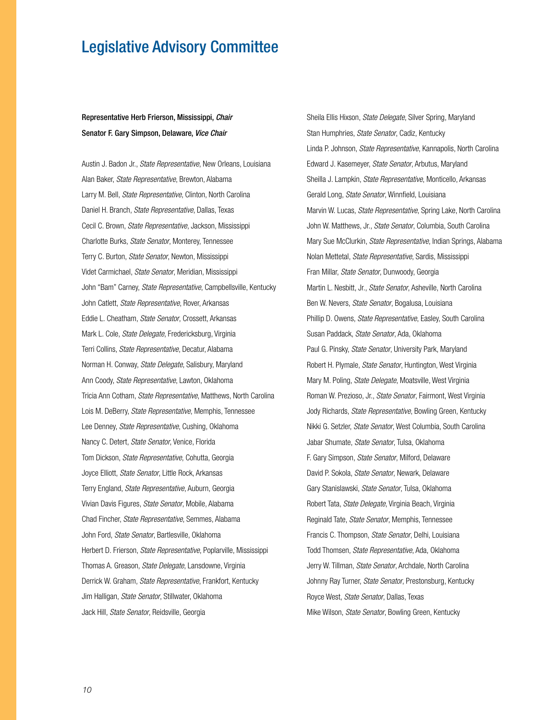## Legislative Advisory Committee

#### Representative Herb Frierson, Mississippi, *Chair* Senator F. Gary Simpson, Delaware, *Vice Chair*

Austin J. Badon Jr., *State Representative*, New Orleans, Louisiana Alan Baker, *State Representative*, Brewton, Alabama Larry M. Bell, *State Representative*, Clinton, North Carolina Daniel H. Branch, *State Representative*, Dallas, Texas Cecil C. Brown, *State Representative*, Jackson, Mississippi Charlotte Burks, *State Senator*, Monterey, Tennessee Terry C. Burton, *State Senator*, Newton, Mississippi Videt Carmichael, *State Senator*, Meridian, Mississippi John "Bam" Carney, *State Representative*, Campbellsville, Kentucky John Catlett, *State Representative*, Rover, Arkansas Eddie L. Cheatham, *State Senator*, Crossett, Arkansas Mark L. Cole, *State Delegate*, Fredericksburg, Virginia Terri Collins, *State Representative*, Decatur, Alabama Norman H. Conway, *State Delegate*, Salisbury, Maryland Ann Coody, *State Representative*, Lawton, Oklahoma Tricia Ann Cotham, *State Representative*, Matthews, North Carolina Lois M. DeBerry, *State Representative*, Memphis, Tennessee Lee Denney, *State Representative*, Cushing, Oklahoma Nancy C. Detert, *State Senator*, Venice, Florida Tom Dickson, *State Representative*, Cohutta, Georgia Joyce Elliott, *State Senator*, Little Rock, Arkansas Terry England, *State Representative*, Auburn, Georgia Vivian Davis Figures, *State Senator*, Mobile, Alabama Chad Fincher, *State Representative*, Semmes, Alabama John Ford, *State Senator*, Bartlesville, Oklahoma Herbert D. Frierson, *State Representative*, Poplarville, Mississippi Thomas A. Greason, *State Delegate*, Lansdowne, Virginia Derrick W. Graham, *State Representative*, Frankfort, Kentucky Jim Halligan, *State Senator*, Stillwater, Oklahoma Jack Hill, *State Senator*, Reidsville, Georgia

Sheila Ellis Hixson, *State Delegate*, Silver Spring, Maryland Stan Humphries, *State Senator*, Cadiz, Kentucky Linda P. Johnson, *State Representative*, Kannapolis, North Carolina Edward J. Kasemeyer, *State Senator*, Arbutus, Maryland Sheilla J. Lampkin, *State Representative*, Monticello, Arkansas Gerald Long, *State Senator*, Winnfield, Louisiana Marvin W. Lucas, *State Representative*, Spring Lake, North Carolina John W. Matthews, Jr., *State Senator*, Columbia, South Carolina Mary Sue McClurkin, *State Representative*, Indian Springs, Alabama Nolan Mettetal, *State Representative*, Sardis, Mississippi Fran Millar, *State Senator*, Dunwoody, Georgia Martin L. Nesbitt, Jr., *State Senator*, Asheville, North Carolina Ben W. Nevers, *State Senator*, Bogalusa, Louisiana Phillip D. Owens, *State Representative*, Easley, South Carolina Susan Paddack, *State Senator*, Ada, Oklahoma Paul G. Pinsky, *State Senator*, University Park, Maryland Robert H. Plymale, *State Senator*, Huntington, West Virginia Mary M. Poling, *State Delegate*, Moatsville, West Virginia Roman W. Prezioso, Jr., *State Senator*, Fairmont, West Virginia Jody Richards, *State Representative*, Bowling Green, Kentucky Nikki G. Setzler, *State Senator*, West Columbia, South Carolina Jabar Shumate, *State Senator*, Tulsa, Oklahoma F. Gary Simpson, *State Senator*, Milford, Delaware David P. Sokola, *State Senator*, Newark, Delaware Gary Stanislawski, *State Senator*, Tulsa, Oklahoma Robert Tata, *State Delegate*, Virginia Beach, Virginia Reginald Tate, *State Senator*, Memphis, Tennessee Francis C. Thompson, *State Senator*, Delhi, Louisiana Todd Thomsen, *State Representative*, Ada, Oklahoma Jerry W. Tillman, *State Senator*, Archdale, North Carolina Johnny Ray Turner, *State Senator*, Prestonsburg, Kentucky Royce West, *State Senator*, Dallas, Texas Mike Wilson, *State Senator*, Bowling Green, Kentucky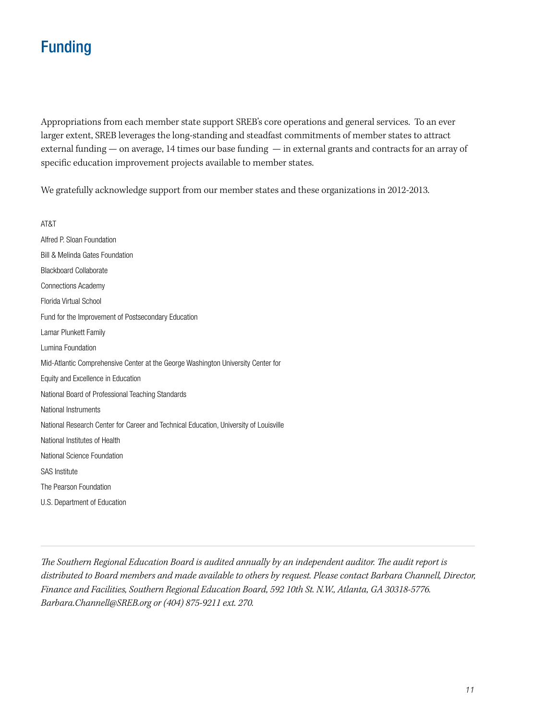## Funding

Appropriations from each member state support SREB's core operations and general services. To an ever larger extent, SREB leverages the long-standing and steadfast commitments of member states to attract external funding — on average, 14 times our base funding — in external grants and contracts for an array of specific education improvement projects available to member states.

We gratefully acknowledge support from our member states and these organizations in 2012-2013.

AT&T Alfred P. Sloan Foundation Bill & Melinda Gates Foundation Blackboard Collaborate Connections Academy Florida Virtual School Fund for the Improvement of Postsecondary Education Lamar Plunkett Family Lumina Foundation Mid-Atlantic Comprehensive Center at the George Washington University Center for Equity and Excellence in Education National Board of Professional Teaching Standards National Instruments National Research Center for Career and Technical Education, University of Louisville National Institutes of Health National Science Foundation SAS Institute The Pearson Foundation U.S. Department of Education

*The Southern Regional Education Board is audited annually by an independent auditor. The audit report is distributed to Board members and made available to others by request. Please contact Barbara Channell, Director, Finance and Facilities, Southern Regional Education Board, 592 10th St. N.W., Atlanta, GA 30318-5776. Barbara.Channell@SREB.org or (404) 875-9211 ext. 270.*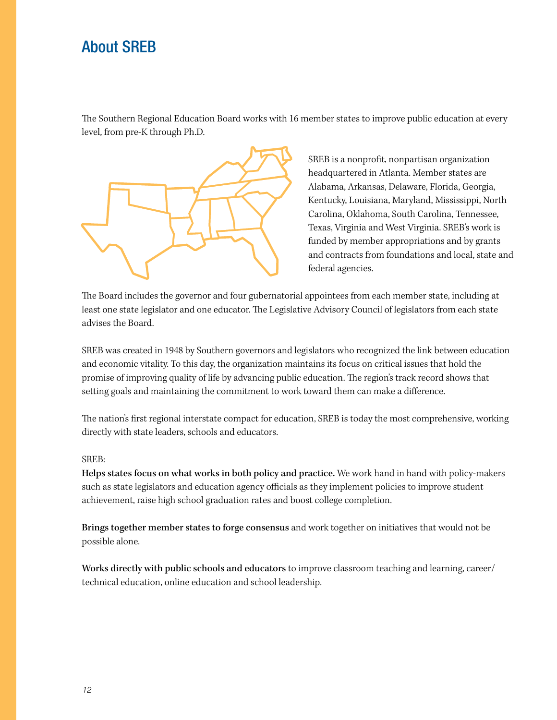## About SREB

The Southern Regional Education Board works with 16 member states to improve public education at every level, from pre-K through Ph.D.



SREB is a nonprofit, nonpartisan organization headquartered in Atlanta. Member states are Alabama, Arkansas, Delaware, Florida, Georgia, Kentucky, Louisiana, Maryland, Mississippi, North Carolina, Oklahoma, South Carolina, Tennessee, Texas, Virginia and West Virginia. SREB's work is funded by member appropriations and by grants and contracts from foundations and local, state and federal agencies.

The Board includes the governor and four gubernatorial appointees from each member state, including at least one state legislator and one educator. The Legislative Advisory Council of legislators from each state advises the Board.

SREB was created in 1948 by Southern governors and legislators who recognized the link between education and economic vitality. To this day, the organization maintains its focus on critical issues that hold the promise of improving quality of life by advancing public education. The region's track record shows that setting goals and maintaining the commitment to work toward them can make a difference.

The nation's first regional interstate compact for education, SREB is today the most comprehensive, working directly with state leaders, schools and educators.

#### SREB:

Helps states focus on what works in both policy and practice. We work hand in hand with policy-makers such as state legislators and education agency officials as they implement policies to improve student achievement, raise high school graduation rates and boost college completion.

Brings together member states to forge consensus and work together on initiatives that would not be possible alone.

Works directly with public schools and educators to improve classroom teaching and learning, career/ technical education, online education and school leadership.